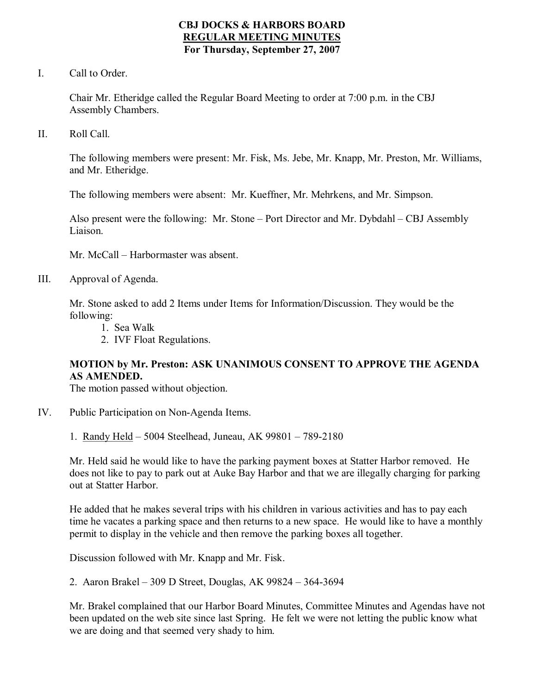### **CBJ DOCKS & HARBORS BOARD REGULAR MEETING MINUTES For Thursday, September 27, 2007**

I. Call to Order.

Chair Mr. Etheridge called the Regular Board Meeting to order at 7:00 p.m. in the CBJ Assembly Chambers.

II. Roll Call.

The following members were present: Mr. Fisk, Ms. Jebe, Mr. Knapp, Mr. Preston, Mr. Williams, and Mr. Etheridge.

The following members were absent: Mr. Kueffner, Mr. Mehrkens, and Mr. Simpson.

Also present were the following: Mr. Stone – Port Director and Mr. Dybdahl – CBJ Assembly Liaison.

Mr. McCall – Harbormaster was absent.

III. Approval of Agenda.

Mr. Stone asked to add 2 Items under Items for Information/Discussion. They would be the following:

- 1. Sea Walk
- 2. IVF Float Regulations.

## **MOTION by Mr. Preston: ASK UNANIMOUS CONSENT TO APPROVE THE AGENDA AS AMENDED.**

The motion passed without objection.

- IV. Public Participation on Non-Agenda Items.
	- 1. Randy Held 5004 Steelhead, Juneau, AK 99801 789-2180

Mr. Held said he would like to have the parking payment boxes at Statter Harbor removed. He does not like to pay to park out at Auke Bay Harbor and that we are illegally charging for parking out at Statter Harbor.

He added that he makes several trips with his children in various activities and has to pay each time he vacates a parking space and then returns to a new space. He would like to have a monthly permit to display in the vehicle and then remove the parking boxes all together.

Discussion followed with Mr. Knapp and Mr. Fisk.

2. Aaron Brakel – 309 D Street, Douglas, AK 99824 – 364-3694

Mr. Brakel complained that our Harbor Board Minutes, Committee Minutes and Agendas have not been updated on the web site since last Spring. He felt we were not letting the public know what we are doing and that seemed very shady to him.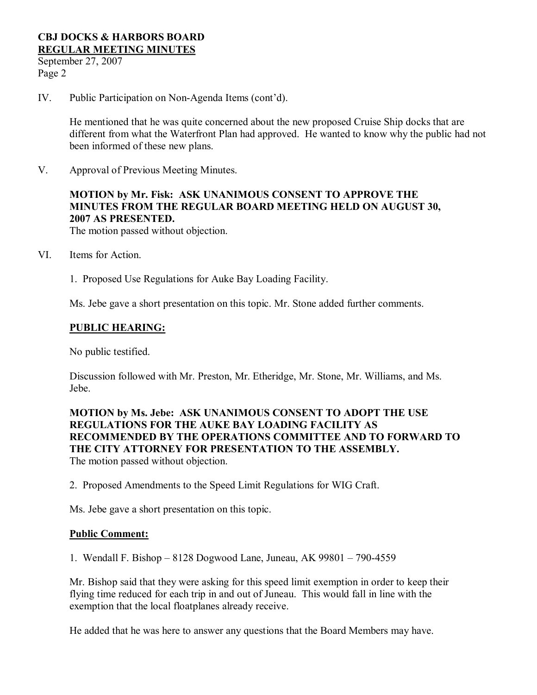September 27, 2007 Page 2

IV. Public Participation on Non-Agenda Items (cont'd).

He mentioned that he was quite concerned about the new proposed Cruise Ship docks that are different from what the Waterfront Plan had approved. He wanted to know why the public had not been informed of these new plans.

V. Approval of Previous Meeting Minutes.

# **MOTION by Mr. Fisk: ASK UNANIMOUS CONSENT TO APPROVE THE MINUTES FROM THE REGULAR BOARD MEETING HELD ON AUGUST 30, 2007 AS PRESENTED.**

The motion passed without objection.

- VI. Items for Action.
	- 1. Proposed Use Regulations for Auke Bay Loading Facility.

Ms. Jebe gave a short presentation on this topic. Mr. Stone added further comments.

### **PUBLIC HEARING:**

No public testified.

Discussion followed with Mr. Preston, Mr. Etheridge, Mr. Stone, Mr. Williams, and Ms. Jebe.

**MOTION by Ms. Jebe: ASK UNANIMOUS CONSENT TO ADOPT THE USE REGULATIONS FOR THE AUKE BAY LOADING FACILITY AS RECOMMENDED BY THE OPERATIONS COMMITTEE AND TO FORWARD TO THE CITY ATTORNEY FOR PRESENTATION TO THE ASSEMBLY.** The motion passed without objection.

2. Proposed Amendments to the Speed Limit Regulations for WIG Craft.

Ms. Jebe gave a short presentation on this topic.

#### **Public Comment:**

1. Wendall F. Bishop – 8128 Dogwood Lane, Juneau, AK 99801 – 7904559

Mr. Bishop said that they were asking for this speed limit exemption in order to keep their flying time reduced for each trip in and out of Juneau. This would fall in line with the exemption that the local floatplanes already receive.

He added that he was here to answer any questions that the Board Members may have.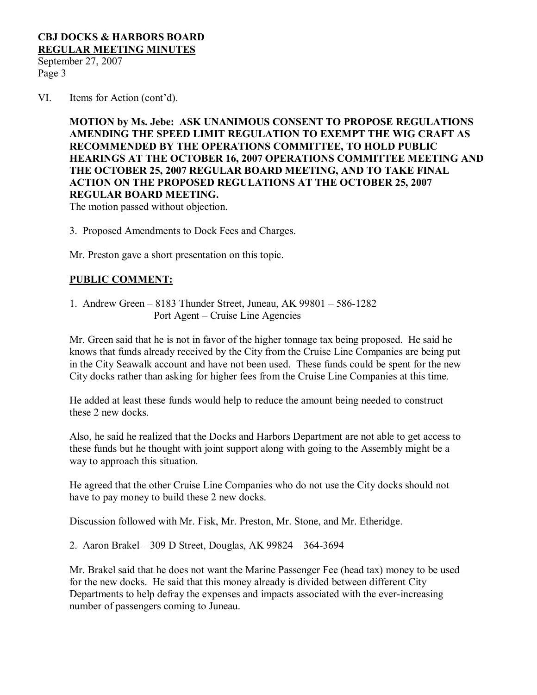September 27, 2007 Page 3

VI. Items for Action (cont'd).

**MOTION by Ms. Jebe: ASK UNANIMOUS CONSENT TO PROPOSE REGULATIONS AMENDING THE SPEED LIMIT REGULATION TO EXEMPT THE WIG CRAFT AS RECOMMENDED BY THE OPERATIONS COMMITTEE, TO HOLD PUBLIC HEARINGS AT THE OCTOBER 16, 2007 OPERATIONS COMMITTEE MEETING AND THE OCTOBER 25, 2007 REGULAR BOARD MEETING, AND TO TAKE FINAL ACTION ON THE PROPOSED REGULATIONS AT THE OCTOBER 25, 2007 REGULAR BOARD MEETING.**

The motion passed without objection.

3. Proposed Amendments to Dock Fees and Charges.

Mr. Preston gave a short presentation on this topic.

## **PUBLIC COMMENT:**

1. Andrew Green – 8183 Thunder Street, Juneau, AK 99801 – 5861282 Port Agent – Cruise Line Agencies

Mr. Green said that he is not in favor of the higher tonnage tax being proposed. He said he knows that funds already received by the City from the Cruise Line Companies are being put in the City Seawalk account and have not been used. These funds could be spent for the new City docks rather than asking for higher fees from the Cruise Line Companies at this time.

He added at least these funds would help to reduce the amount being needed to construct these 2 new docks.

Also, he said he realized that the Docks and Harbors Department are not able to get access to these funds but he thought with joint support along with going to the Assembly might be a way to approach this situation.

He agreed that the other Cruise Line Companies who do not use the City docks should not have to pay money to build these 2 new docks.

Discussion followed with Mr. Fisk, Mr. Preston, Mr. Stone, and Mr. Etheridge.

2. Aaron Brakel – 309 D Street, Douglas, AK 99824 – 364-3694

Mr. Brakel said that he does not want the Marine Passenger Fee (head tax) money to be used for the new docks. He said that this money already is divided between different City Departments to help defray the expenses and impacts associated with the ever-increasing number of passengers coming to Juneau.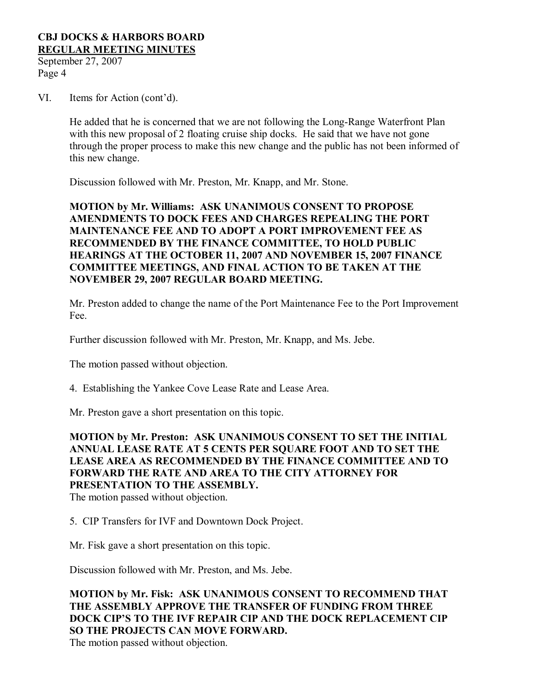September 27, 2007 Page 4

VI. Items for Action (cont'd).

He added that he is concerned that we are not following the Long-Range Waterfront Plan with this new proposal of 2 floating cruise ship docks. He said that we have not gone through the proper process to make this new change and the public has not been informed of this new change.

Discussion followed with Mr. Preston, Mr. Knapp, and Mr. Stone.

**MOTION by Mr. Williams: ASK UNANIMOUS CONSENT TO PROPOSE AMENDMENTS TO DOCK FEES AND CHARGES REPEALING THE PORT MAINTENANCE FEE AND TO ADOPT A PORT IMPROVEMENT FEE AS RECOMMENDED BY THE FINANCE COMMITTEE, TO HOLD PUBLIC HEARINGS AT THE OCTOBER 11, 2007 AND NOVEMBER 15, 2007 FINANCE COMMITTEE MEETINGS, AND FINAL ACTION TO BE TAKEN AT THE NOVEMBER 29, 2007 REGULAR BOARD MEETING.**

Mr. Preston added to change the name of the Port Maintenance Fee to the Port Improvement Fee.

Further discussion followed with Mr. Preston, Mr. Knapp, and Ms. Jebe.

The motion passed without objection.

4. Establishing the Yankee Cove Lease Rate and Lease Area.

Mr. Preston gave a short presentation on this topic.

**MOTION by Mr. Preston: ASK UNANIMOUS CONSENT TO SET THE INITIAL ANNUAL LEASE RATE AT 5 CENTS PER SQUARE FOOT AND TO SET THE LEASE AREA AS RECOMMENDED BY THE FINANCE COMMITTEE AND TO FORWARD THE RATE AND AREA TO THE CITY ATTORNEY FOR PRESENTATION TO THE ASSEMBLY.**

The motion passed without objection.

5. CIP Transfers for IVF and Downtown Dock Project.

Mr. Fisk gave a short presentation on this topic.

Discussion followed with Mr. Preston, and Ms. Jebe.

## **MOTION by Mr. Fisk: ASK UNANIMOUS CONSENT TO RECOMMEND THAT THE ASSEMBLY APPROVE THE TRANSFER OF FUNDING FROM THREE DOCK CIP'S TO THE IVF REPAIR CIP AND THE DOCK REPLACEMENT CIP SO THE PROJECTS CAN MOVE FORWARD.**

The motion passed without objection.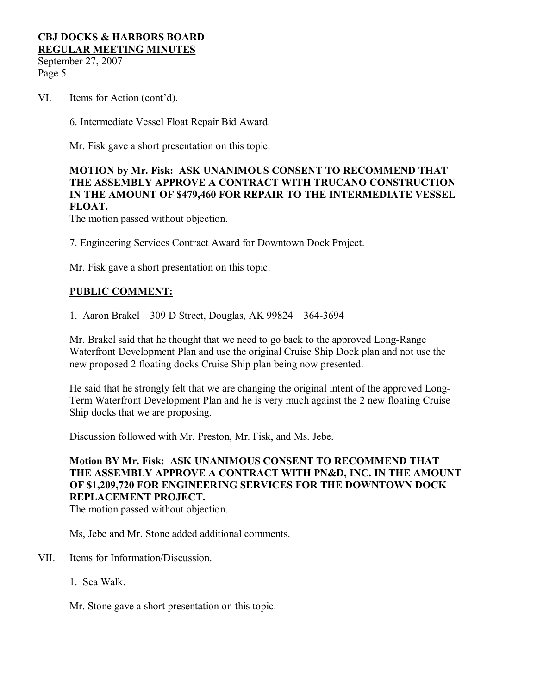September 27, 2007 Page 5

VI. Items for Action (cont'd).

6. Intermediate Vessel Float Repair Bid Award.

Mr. Fisk gave a short presentation on this topic.

## **MOTION by Mr. Fisk: ASK UNANIMOUS CONSENT TO RECOMMEND THAT THE ASSEMBLY APPROVE A CONTRACT WITH TRUCANO CONSTRUCTION IN THE AMOUNT OF \$479,460 FOR REPAIR TO THE INTERMEDIATE VESSEL FLOAT.**

The motion passed without objection.

7. Engineering Services Contract Award for Downtown Dock Project.

Mr. Fisk gave a short presentation on this topic.

## **PUBLIC COMMENT:**

1. Aaron Brakel – 309 D Street, Douglas, AK 99824 – 3643694

Mr. Brakel said that he thought that we need to go back to the approved Long-Range Waterfront Development Plan and use the original Cruise Ship Dock plan and not use the new proposed 2 floating docks Cruise Ship plan being now presented.

He said that he strongly felt that we are changing the original intent of the approved Long-Term Waterfront Development Plan and he is very much against the 2 new floating Cruise Ship docks that we are proposing.

Discussion followed with Mr. Preston, Mr. Fisk, and Ms. Jebe.

## **Motion BY Mr. Fisk: ASK UNANIMOUS CONSENT TO RECOMMEND THAT THE ASSEMBLY APPROVE A CONTRACT WITH PN&D, INC. IN THE AMOUNT OF \$1,209,720 FOR ENGINEERING SERVICES FOR THE DOWNTOWN DOCK REPLACEMENT PROJECT.**

The motion passed without objection.

Ms, Jebe and Mr. Stone added additional comments.

- VII. Items for Information/Discussion.
	- 1. Sea Walk.

Mr. Stone gave a short presentation on this topic.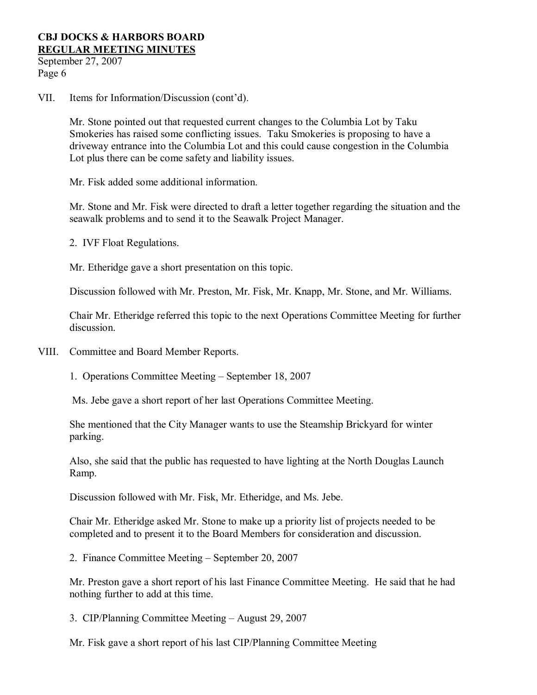September 27, 2007 Page 6

VII. Items for Information/Discussion (cont'd).

Mr. Stone pointed out that requested current changes to the Columbia Lot by Taku Smokeries has raised some conflicting issues. Taku Smokeries is proposing to have a driveway entrance into the Columbia Lot and this could cause congestion in the Columbia Lot plus there can be come safety and liability issues.

Mr. Fisk added some additional information.

Mr. Stone and Mr. Fisk were directed to draft a letter together regarding the situation and the seawalk problems and to send it to the Seawalk Project Manager.

2. IVF Float Regulations.

Mr. Etheridge gave a short presentation on this topic.

Discussion followed with Mr. Preston, Mr. Fisk, Mr. Knapp, Mr. Stone, and Mr. Williams.

Chair Mr. Etheridge referred this topic to the next Operations Committee Meeting for further discussion.

VIII. Committee and Board Member Reports.

1. Operations Committee Meeting – September 18, 2007

Ms. Jebe gave a short report of her last Operations Committee Meeting.

She mentioned that the City Manager wants to use the Steamship Brickyard for winter parking.

Also, she said that the public has requested to have lighting at the North Douglas Launch Ramp.

Discussion followed with Mr. Fisk, Mr. Etheridge, and Ms. Jebe.

Chair Mr. Etheridge asked Mr. Stone to make up a priority list of projects needed to be completed and to present it to the Board Members for consideration and discussion.

2. Finance Committee Meeting – September 20, 2007

Mr. Preston gave a short report of his last Finance Committee Meeting. He said that he had nothing further to add at this time.

3. CIP/Planning Committee Meeting – August 29, 2007

Mr. Fisk gave a short report of his last CIP/Planning Committee Meeting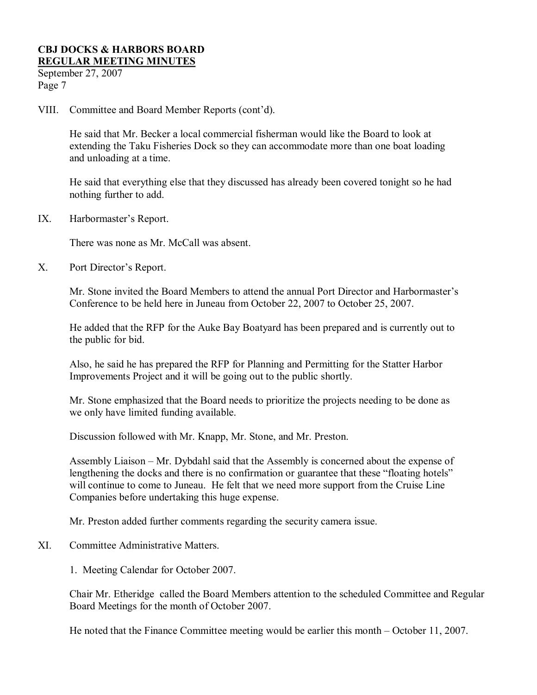September 27, 2007 Page 7

VIII. Committee and Board Member Reports (cont'd).

He said that Mr. Becker a local commercial fisherman would like the Board to look at extending the Taku Fisheries Dock so they can accommodate more than one boat loading and unloading at a time.

He said that everything else that they discussed has already been covered tonight so he had nothing further to add.

IX. Harbormaster's Report.

There was none as Mr. McCall was absent.

X. Port Director's Report.

Mr. Stone invited the Board Members to attend the annual Port Director and Harbormaster's Conference to be held here in Juneau from October 22, 2007 to October 25, 2007.

He added that the RFP for the Auke Bay Boatyard has been prepared and is currently out to the public for bid.

Also, he said he has prepared the RFP for Planning and Permitting for the Statter Harbor Improvements Project and it will be going out to the public shortly.

Mr. Stone emphasized that the Board needs to prioritize the projects needing to be done as we only have limited funding available.

Discussion followed with Mr. Knapp, Mr. Stone, and Mr. Preston.

Assembly Liaison – Mr. Dybdahl said that the Assembly is concerned about the expense of lengthening the docks and there is no confirmation or guarantee that these "floating hotels" will continue to come to Juneau. He felt that we need more support from the Cruise Line Companies before undertaking this huge expense.

Mr. Preston added further comments regarding the security camera issue.

XI. Committee Administrative Matters.

1. Meeting Calendar for October 2007.

Chair Mr. Etheridge called the Board Members attention to the scheduled Committee and Regular Board Meetings for the month of October 2007.

He noted that the Finance Committee meeting would be earlier this month – October 11, 2007.